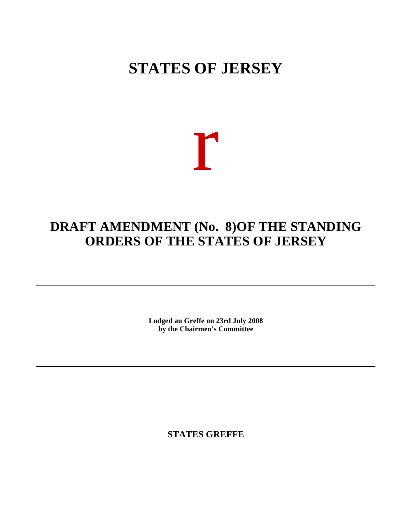# **STATES OF JERSEY**

# r

## **DRAFT AMENDMENT** (No. 8) OF THE STANDING **ORDERS OF THE STATES OF JERSEY**

**Lodged au Greffe on 23rd July 2008 by the Chairmen's Committee**

**STATES GREFFE**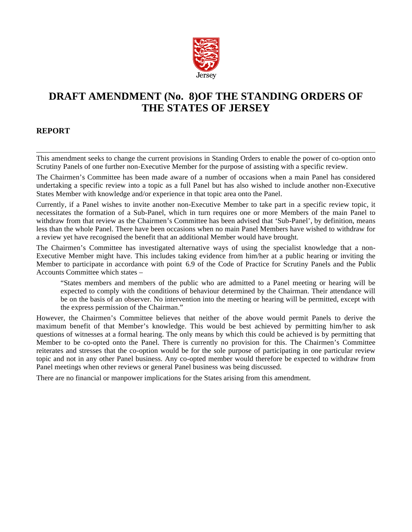

## **DRAFT AMENDMENT (No. 8) OF THE STANDING ORDERS OF THE STATES OF JERSEY**

#### **REPORT**

This amendment seeks to change the current provisions in Standing Orders to enable the power of co-option onto Scrutiny Panels of one further non-Executive Member for the purpose of assisting with a specific review.

The Chairmen's Committee has been made aware of a number of occasions when a main Panel has considered undertaking a specific review into a topic as a full Panel but has also wished to include another non-Executive States Member with knowledge and/or experience in that topic area onto the Panel.

Currently, if a Panel wishes to invite another non-Executive Member to take part in a specific review topic, it necessitates the formation of a Sub-Panel, which in turn requires one or more Members of the main Panel to withdraw from that review as the Chairmen's Committee has been advised that 'Sub-Panel', by definition, means less than the whole Panel. There have been occasions when no main Panel Members have wished to withdraw for a review yet have recognised the benefit that an additional Member would have brought.

The Chairmen's Committee has investigated alternative ways of using the specialist knowledge that a non-Executive Member might have. This includes taking evidence from him/her at a public hearing or inviting the Member to participate in accordance with point 6.9 of the Code of Practice for Scrutiny Panels and the Public Accounts Committee which states –

"States members and members of the public who are admitted to a Panel meeting or hearing will be expected to comply with the conditions of behaviour determined by the Chairman. Their attendance will be on the basis of an observer. No intervention into the meeting or hearing will be permitted, except with the express permission of the Chairman."

However, the Chairmen's Committee believes that neither of the above would permit Panels to derive the maximum benefit of that Member's knowledge. This would be best achieved by permitting him/her to ask questions of witnesses at a formal hearing. The only means by which this could be achieved is by permitting that Member to be co-opted onto the Panel. There is currently no provision for this. The Chairmen's Committee reiterates and stresses that the co-option would be for the sole purpose of participating in one particular review topic and not in any other Panel business. Any co-opted member would therefore be expected to withdraw from Panel meetings when other reviews or general Panel business was being discussed.

There are no financial or manpower implications for the States arising from this amendment.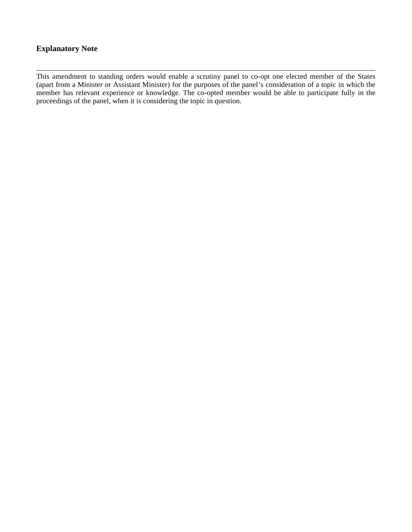#### **Explanatory Note**

This amendment to standing orders would enable a scrutiny panel to co-opt one elected member of the States (apart from a Minister or Assistant Minister) for the purposes of the panel's consideration of a topic in which the member has relevant experience or knowledge. The co-opted member would be able to participate fully in the proceedings of the panel, when it is considering the topic in question.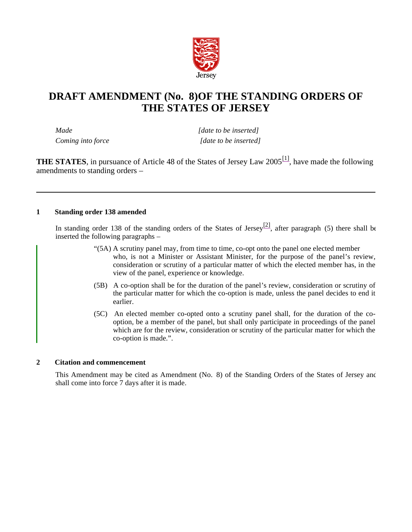

### **DRAFT AMENDMENT (No. 8) OF THE STANDING ORDERS OF THE STATES OF JERSEY**

*Made [date to be inserted] Coming into force* [date to be inserted]

**THE STATES**, in pursuance of Article 48 of the States of Jersey Law 2005<sup>[1]</sup>, have made the following amendments to standing orders –

#### **1 Standing order 138 amended**

In standing order 138 of the standing orders of the States of Jersey<sup>[2]</sup>, after paragraph (5) there shall be inserted the following paragraphs –

- "(5A) A scrutiny panel may, from time to time, co-opt onto the panel one elected member who, is not a Minister or Assistant Minister, for the purpose of the panel's review, consideration or scrutiny of a particular matter of which the elected member has, in the view of the panel, experience or knowledge.
- (5B) A co-option shall be for the duration of the panel's review, consideration or scrutiny of the particular matter for which the co-option is made, unless the panel decides to end it earlier.
- (5C) An elected member co-opted onto a scrutiny panel shall, for the duration of the cooption, be a member of the panel, but shall only participate in proceedings of the panel which are for the review, consideration or scrutiny of the particular matter for which the co-option is made.".

#### **2 Citation and commencement**

This Amendment may be cited as Amendment (No. 8) of the Standing Orders of the States of Jersey and shall come into force 7 days after it is made.